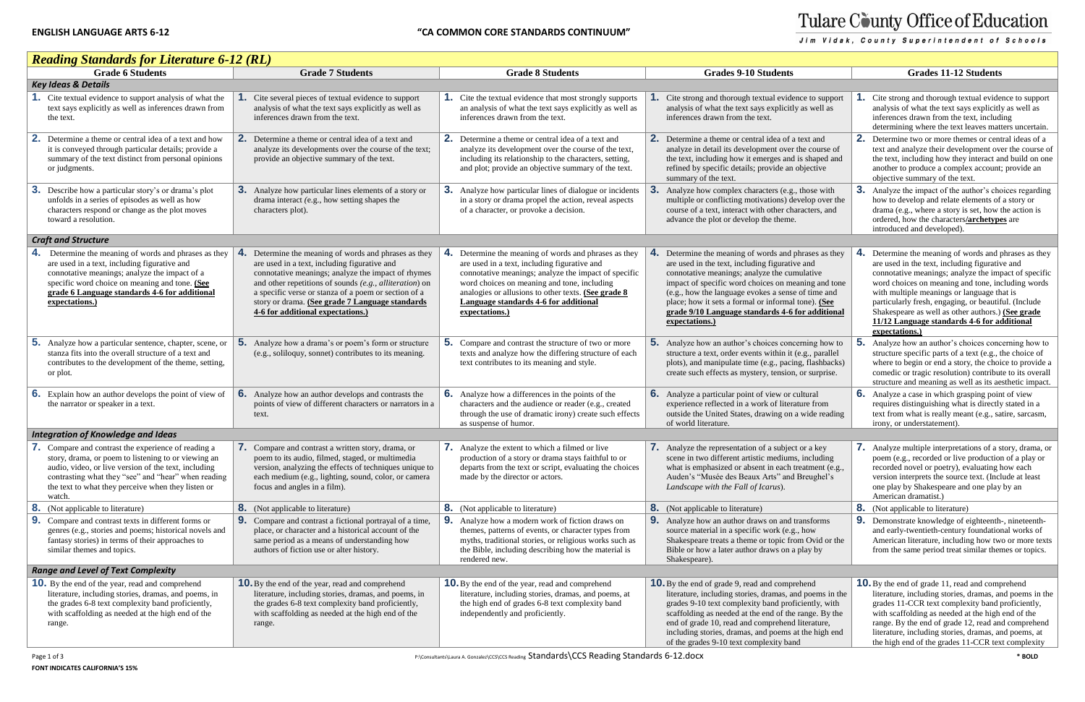## Tulare County Office of Education

Jim Vidak, County Superintendent of Schools

| <b>Reading Standards for Literature 6-12 (RL)</b>                                                                                                                                                                                                                                         |                                                                                                                                                                                                                                                                                                                                                                            |                                                                                                                                                                                                                                                                                                                                    |                                                                                                                                                                                                                                                                                                                                                                                                |                                                                                                                                                                                                                                                                                                                                                                                                                                                         |  |  |
|-------------------------------------------------------------------------------------------------------------------------------------------------------------------------------------------------------------------------------------------------------------------------------------------|----------------------------------------------------------------------------------------------------------------------------------------------------------------------------------------------------------------------------------------------------------------------------------------------------------------------------------------------------------------------------|------------------------------------------------------------------------------------------------------------------------------------------------------------------------------------------------------------------------------------------------------------------------------------------------------------------------------------|------------------------------------------------------------------------------------------------------------------------------------------------------------------------------------------------------------------------------------------------------------------------------------------------------------------------------------------------------------------------------------------------|---------------------------------------------------------------------------------------------------------------------------------------------------------------------------------------------------------------------------------------------------------------------------------------------------------------------------------------------------------------------------------------------------------------------------------------------------------|--|--|
| <b>Grade 6 Students</b>                                                                                                                                                                                                                                                                   | <b>Grade 7 Students</b>                                                                                                                                                                                                                                                                                                                                                    | <b>Grade 8 Students</b>                                                                                                                                                                                                                                                                                                            | <b>Grades 9-10 Students</b>                                                                                                                                                                                                                                                                                                                                                                    | <b>Grades 11-12 Students</b>                                                                                                                                                                                                                                                                                                                                                                                                                            |  |  |
| <b>Key Ideas &amp; Details</b>                                                                                                                                                                                                                                                            |                                                                                                                                                                                                                                                                                                                                                                            |                                                                                                                                                                                                                                                                                                                                    |                                                                                                                                                                                                                                                                                                                                                                                                |                                                                                                                                                                                                                                                                                                                                                                                                                                                         |  |  |
| Cite textual evidence to support analysis of what the<br>text says explicitly as well as inferences drawn from<br>the text.                                                                                                                                                               | Cite several pieces of textual evidence to support<br>analysis of what the text says explicitly as well as<br>inferences drawn from the text.                                                                                                                                                                                                                              | <b>1.</b> Cite the textual evidence that most strongly supports<br>an analysis of what the text says explicitly as well as<br>inferences drawn from the text.                                                                                                                                                                      | Cite strong and thorough textual evidence to support<br>analysis of what the text says explicitly as well as<br>inferences drawn from the text.                                                                                                                                                                                                                                                | Cite strong and thorough textual evidence to support<br>analysis of what the text says explicitly as well as<br>inferences drawn from the text, including<br>determining where the text leaves matters uncertain.                                                                                                                                                                                                                                       |  |  |
| 2.<br>Determine a theme or central idea of a text and how<br>it is conveyed through particular details; provide a<br>summary of the text distinct from personal opinions<br>or judgments.                                                                                                 | Determine a theme or central idea of a text and<br>analyze its developments over the course of the text;<br>provide an objective summary of the text.                                                                                                                                                                                                                      | 2. Determine a theme or central idea of a text and<br>analyze its development over the course of the text,<br>including its relationship to the characters, setting,<br>and plot; provide an objective summary of the text.                                                                                                        | 2. Determine a theme or central idea of a text and<br>analyze in detail its development over the course of<br>the text, including how it emerges and is shaped and<br>refined by specific details; provide an objective<br>summary of the text.                                                                                                                                                | 2. Determine two or more themes or central ideas of a<br>text and analyze their development over the course of<br>the text, including how they interact and build on one<br>another to produce a complex account; provide an<br>objective summary of the text.                                                                                                                                                                                          |  |  |
| 3.<br>Describe how a particular story's or drama's plot<br>unfolds in a series of episodes as well as how<br>characters respond or change as the plot moves<br>toward a resolution.                                                                                                       | 3.<br>Analyze how particular lines elements of a story or<br>drama interact (e.g., how setting shapes the<br>characters plot).                                                                                                                                                                                                                                             | <b>3.</b> Analyze how particular lines of dialogue or incidents<br>in a story or drama propel the action, reveal aspects<br>of a character, or provoke a decision.                                                                                                                                                                 | Analyze how complex characters (e.g., those with<br>multiple or conflicting motivations) develop over the<br>course of a text, interact with other characters, and<br>advance the plot or develop the theme.                                                                                                                                                                                   | <b>3.</b> Analyze the impact of the author's choices regarding<br>how to develop and relate elements of a story or<br>drama (e.g., where a story is set, how the action is<br>ordered, how the characters/archetypes are<br>introduced and developed).                                                                                                                                                                                                  |  |  |
| <b>Craft and Structure</b>                                                                                                                                                                                                                                                                |                                                                                                                                                                                                                                                                                                                                                                            |                                                                                                                                                                                                                                                                                                                                    |                                                                                                                                                                                                                                                                                                                                                                                                |                                                                                                                                                                                                                                                                                                                                                                                                                                                         |  |  |
| <b>4.</b> Determine the meaning of words and phrases as they<br>are used in a text, including figurative and<br>connotative meanings; analyze the impact of a<br>specific word choice on meaning and tone. (See<br>grade 6 Language standards 4-6 for additional<br>expectations.)        | -4.<br>Determine the meaning of words and phrases as they<br>are used in a text, including figurative and<br>connotative meanings; analyze the impact of rhymes<br>and other repetitions of sounds (e.g., alliteration) on<br>a specific verse or stanza of a poem or section of a<br>story or drama. (See grade 7 Language standards<br>4-6 for additional expectations.) | 4.<br>Determine the meaning of words and phrases as they<br>are used in a text, including figurative and<br>connotative meanings; analyze the impact of specific<br>word choices on meaning and tone, including<br>analogies or allusions to other texts. (See grade 8)<br>Language standards 4-6 for additional<br>expectations.) | Determine the meaning of words and phrases as they<br>are used in the text, including figurative and<br>connotative meanings; analyze the cumulative<br>impact of specific word choices on meaning and tone<br>(e.g., how the language evokes a sense of time and<br>place; how it sets a formal or informal tone). (See<br>grade 9/10 Language standards 4-6 for additional<br>expectations.) | <b>4.</b> Determine the meaning of words and phrases as they<br>are used in the text, including figurative and<br>connotative meanings; analyze the impact of specific<br>word choices on meaning and tone, including words<br>with multiple meanings or language that is<br>particularly fresh, engaging, or beautiful. (Include<br>Shakespeare as well as other authors.) (See grade<br>11/12 Language standards 4-6 for additional<br>expectations.) |  |  |
| 5 <sub>1</sub><br>Analyze how a particular sentence, chapter, scene, or<br>stanza fits into the overall structure of a text and<br>contributes to the development of the theme, setting,<br>or plot.                                                                                      | 5.<br>Analyze how a drama's or poem's form or structure<br>(e.g., soliloquy, sonnet) contributes to its meaning.                                                                                                                                                                                                                                                           | 5.<br>Compare and contrast the structure of two or more<br>texts and analyze how the differing structure of each<br>text contributes to its meaning and style.                                                                                                                                                                     | 5.<br>Analyze how an author's choices concerning how to<br>structure a text, order events within it (e.g., parallel<br>plots), and manipulate time (e.g., pacing, flashbacks)<br>create such effects as mystery, tension, or surprise.                                                                                                                                                         | <b>5.</b> Analyze how an author's choices concerning how to<br>structure specific parts of a text (e.g., the choice of<br>where to begin or end a story, the choice to provide a<br>comedic or tragic resolution) contribute to its overall<br>structure and meaning as well as its aesthetic impact.                                                                                                                                                   |  |  |
| <b>6.</b> Explain how an author develops the point of view of<br>the narrator or speaker in a text.                                                                                                                                                                                       | <b>6.</b> Analyze how an author develops and contrasts the<br>points of view of different characters or narrators in a<br>text.                                                                                                                                                                                                                                            | <b>6.</b> Analyze how a differences in the points of the<br>characters and the audience or reader (e.g., created<br>through the use of dramatic irony) create such effects<br>as suspense of humor.                                                                                                                                | <b>6.</b> Analyze a particular point of view or cultural<br>experience reflected in a work of literature from<br>outside the United States, drawing on a wide reading<br>of world literature.                                                                                                                                                                                                  | <b>6.</b> Analyze a case in which grasping point of view<br>requires distinguishing what is directly stated in a<br>text from what is really meant (e.g., satire, sarcasm,<br>irony, or understatement).                                                                                                                                                                                                                                                |  |  |
| <b>Integration of Knowledge and Ideas</b>                                                                                                                                                                                                                                                 |                                                                                                                                                                                                                                                                                                                                                                            |                                                                                                                                                                                                                                                                                                                                    |                                                                                                                                                                                                                                                                                                                                                                                                |                                                                                                                                                                                                                                                                                                                                                                                                                                                         |  |  |
| 7. Compare and contrast the experience of reading a<br>story, drama, or poem to listening to or viewing an<br>audio, video, or live version of the text, including<br>contrasting what they "see" and "hear" when reading<br>the text to what they perceive when they listen or<br>watch. | Compare and contrast a written story, drama, or<br>poem to its audio, filmed, staged, or multimedia<br>version, analyzing the effects of techniques unique to<br>each medium (e.g., lighting, sound, color, or camera<br>focus and angles in a film).                                                                                                                      | 7. Analyze the extent to which a filmed or live<br>production of a story or drama stays faithful to or<br>departs from the text or script, evaluating the choices<br>made by the director or actors.                                                                                                                               | <b>7.</b> Analyze the representation of a subject or a key<br>scene in two different artistic mediums, including<br>what is emphasized or absent in each treatment (e.g.,<br>Auden's "Musée des Beaux Arts" and Breughel's<br>Landscape with the Fall of Icarus).                                                                                                                              | 7. Analyze multiple interpretations of a story, drama, or<br>poem (e.g., recorded or live production of a play or<br>recorded novel or poetry), evaluating how each<br>version interprets the source text. (Include at least<br>one play by Shakespeare and one play by an<br>American dramatist.)                                                                                                                                                      |  |  |
| 8.<br>(Not applicable to literature)                                                                                                                                                                                                                                                      | <b>8.</b> (Not applicable to literature)                                                                                                                                                                                                                                                                                                                                   | <b>8.</b> (Not applicable to literature)                                                                                                                                                                                                                                                                                           | <b>8.</b> (Not applicable to literature)                                                                                                                                                                                                                                                                                                                                                       | <b>8.</b> (Not applicable to literature)                                                                                                                                                                                                                                                                                                                                                                                                                |  |  |
| <b>9.</b> Compare and contrast texts in different forms or<br>genres (e.g., stories and poems; historical novels and<br>fantasy stories) in terms of their approaches to<br>similar themes and topics.                                                                                    | <b>9.</b> Compare and contrast a fictional portrayal of a time,<br>place, or character and a historical account of the<br>same period as a means of understanding how<br>authors of fiction use or alter history.                                                                                                                                                          | <b>9.</b> Analyze how a modern work of fiction draws on<br>themes, patterns of events, or character types from<br>myths, traditional stories, or religious works such as<br>the Bible, including describing how the material is<br>rendered new.                                                                                   | <b>9.</b> Analyze how an author draws on and transforms<br>source material in a specific work (e.g., how<br>Shakespeare treats a theme or topic from Ovid or the<br>Bible or how a later author draws on a play by<br>Shakespeare).                                                                                                                                                            | 9. Demonstrate knowledge of eighteenth-, nineteenth-<br>and early-twentieth-century foundational works of<br>American literature, including how two or more texts<br>from the same period treat similar themes or topics.                                                                                                                                                                                                                               |  |  |
| <b>Range and Level of Text Complexity</b>                                                                                                                                                                                                                                                 |                                                                                                                                                                                                                                                                                                                                                                            |                                                                                                                                                                                                                                                                                                                                    |                                                                                                                                                                                                                                                                                                                                                                                                |                                                                                                                                                                                                                                                                                                                                                                                                                                                         |  |  |
| <b>10.</b> By the end of the year, read and comprehend<br>literature, including stories, dramas, and poems, in<br>the grades 6-8 text complexity band proficiently,<br>with scaffolding as needed at the high end of the<br>range.                                                        | <b>10.</b> By the end of the year, read and comprehend<br>literature, including stories, dramas, and poems, in<br>the grades 6-8 text complexity band proficiently,<br>with scaffolding as needed at the high end of the<br>range.                                                                                                                                         | <b>10.</b> By the end of the year, read and comprehend<br>literature, including stories, dramas, and poems, at<br>the high end of grades 6-8 text complexity band<br>independently and proficiently.                                                                                                                               | <b>10.</b> By the end of grade 9, read and comprehend<br>literature, including stories, dramas, and poems in the<br>grades 9-10 text complexity band proficiently, with<br>scaffolding as needed at the end of the range. By the<br>end of grade 10, read and comprehend literature,<br>including stories, dramas, and poems at the high end<br>of the grades 9-10 text complexity band        | <b>10.</b> By the end of grade 11, read and comprehend<br>literature, including stories, dramas, and poems in the<br>grades 11-CCR text complexity band proficiently,<br>with scaffolding as needed at the high end of the<br>range. By the end of grade 12, read and comprehend<br>literature, including stories, dramas, and poems, at<br>the high end of the grades 11-CCR text complexity                                                           |  |  |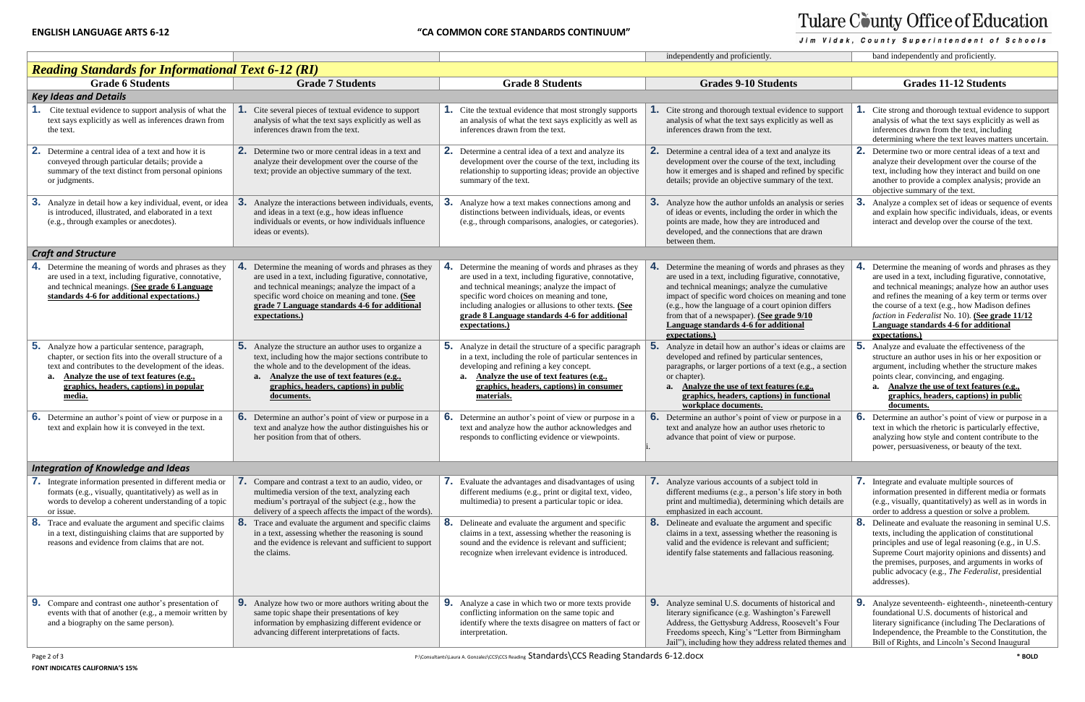## Tulare County Office of Education

Jim Vidak, County Superintendent of Schools

|                                                                                                                                                                                                                                                                                    |                                                                                                                                                                                                                                                                                            |                                                                                                                                                                                                                                                                                                                                            | independently and proficiently.                                                                                                                                                                                                                                                                                                                                                      | band independently and proficiently.                                                                                                                                                                                                                                                                                     |
|------------------------------------------------------------------------------------------------------------------------------------------------------------------------------------------------------------------------------------------------------------------------------------|--------------------------------------------------------------------------------------------------------------------------------------------------------------------------------------------------------------------------------------------------------------------------------------------|--------------------------------------------------------------------------------------------------------------------------------------------------------------------------------------------------------------------------------------------------------------------------------------------------------------------------------------------|--------------------------------------------------------------------------------------------------------------------------------------------------------------------------------------------------------------------------------------------------------------------------------------------------------------------------------------------------------------------------------------|--------------------------------------------------------------------------------------------------------------------------------------------------------------------------------------------------------------------------------------------------------------------------------------------------------------------------|
| <b>Reading Standards for Informational Text 6-12 (RI)</b>                                                                                                                                                                                                                          |                                                                                                                                                                                                                                                                                            |                                                                                                                                                                                                                                                                                                                                            |                                                                                                                                                                                                                                                                                                                                                                                      |                                                                                                                                                                                                                                                                                                                          |
| <b>Grade 6 Students</b>                                                                                                                                                                                                                                                            | <b>Grade 7 Students</b>                                                                                                                                                                                                                                                                    | <b>Grade 8 Students</b>                                                                                                                                                                                                                                                                                                                    | <b>Grades 9-10 Students</b>                                                                                                                                                                                                                                                                                                                                                          | <b>Grades 11-12 Students</b>                                                                                                                                                                                                                                                                                             |
| <b>Key Ideas and Details</b>                                                                                                                                                                                                                                                       |                                                                                                                                                                                                                                                                                            |                                                                                                                                                                                                                                                                                                                                            |                                                                                                                                                                                                                                                                                                                                                                                      |                                                                                                                                                                                                                                                                                                                          |
| Cite textual evidence to support analysis of what the<br>text says explicitly as well as inferences drawn from<br>the text.                                                                                                                                                        | Cite several pieces of textual evidence to support<br>analysis of what the text says explicitly as well as<br>inferences drawn from the text.                                                                                                                                              | <b>1.</b> Cite the textual evidence that most strongly supports<br>an analysis of what the text says explicitly as well as<br>inferences drawn from the text.                                                                                                                                                                              | Cite strong and thorough textual evidence to support<br>analysis of what the text says explicitly as well as<br>inferences drawn from the text.                                                                                                                                                                                                                                      | Cite strong and thorough textual eviden<br>analysis of what the text says explicitly<br>inferences drawn from the text, includin<br>determining where the text leaves matte                                                                                                                                              |
| Determine a central idea of a text and how it is<br>2.<br>conveyed through particular details; provide a<br>summary of the text distinct from personal opinions<br>or judgments.                                                                                                   | 2.<br>Determine two or more central ideas in a text and<br>analyze their development over the course of the<br>text; provide an objective summary of the text.                                                                                                                             | 2. Determine a central idea of a text and analyze its<br>development over the course of the text, including its<br>relationship to supporting ideas; provide an objective<br>summary of the text.                                                                                                                                          | <b>2.</b> Determine a central idea of a text and analyze its<br>development over the course of the text, including<br>how it emerges and is shaped and refined by specific<br>details; provide an objective summary of the text.                                                                                                                                                     | Determine two or more central ideas of<br>analyze their development over the cou<br>text, including how they interact and bu<br>another to provide a complex analysis;<br>objective summary of the text.                                                                                                                 |
| Analyze in detail how a key individual, event, or idea<br>3.<br>is introduced, illustrated, and elaborated in a text<br>(e.g., through examples or anecdotes).                                                                                                                     | 3.<br>Analyze the interactions between individuals, events,<br>and ideas in a text (e.g., how ideas influence<br>individuals or events, or how individuals influence<br>ideas or events).                                                                                                  | 3.<br>Analyze how a text makes connections among and<br>distinctions between individuals, ideas, or events<br>(e.g., through comparisons, analogies, or categories).                                                                                                                                                                       | Analyze how the author unfolds an analysis or series<br>3.<br>of ideas or events, including the order in which the<br>points are made, how they are introduced and<br>developed, and the connections that are drawn<br>between them.                                                                                                                                                 | 3.<br>Analyze a complex set of ideas or seque<br>and explain how specific individuals, id<br>interact and develop over the course of                                                                                                                                                                                     |
| <b>Craft and Structure</b>                                                                                                                                                                                                                                                         |                                                                                                                                                                                                                                                                                            |                                                                                                                                                                                                                                                                                                                                            |                                                                                                                                                                                                                                                                                                                                                                                      |                                                                                                                                                                                                                                                                                                                          |
| <b>4.</b> Determine the meaning of words and phrases as they<br>are used in a text, including figurative, connotative,<br>and technical meanings. (See grade 6 Language<br>standards 4-6 for additional expectations.)                                                             | 4.<br>Determine the meaning of words and phrases as they<br>are used in a text, including figurative, connotative,<br>and technical meanings; analyze the impact of a<br>specific word choice on meaning and tone. (See<br>grade 7 Language standards 4-6 for additional<br>expectations.) | 4. Determine the meaning of words and phrases as they<br>are used in a text, including figurative, connotative,<br>and technical meanings; analyze the impact of<br>specific word choices on meaning and tone,<br>including analogies or allusions to other texts. (See<br>grade 8 Language standards 4-6 for additional<br>expectations.) | Determine the meaning of words and phrases as they<br>are used in a text, including figurative, connotative,<br>and technical meanings; analyze the cumulative<br>impact of specific word choices on meaning and tone<br>(e.g., how the language of a court opinion differs<br>from that of a newspaper). (See grade 9/10<br>Language standards 4-6 for additional<br>expectations.) | Determine the meaning of words and pl<br>are used in a text, including figurative,<br>and technical meanings; analyze how a<br>and refines the meaning of a key term of<br>the course of a text (e.g., how Madison<br>faction in Federalist No. 10). (See grad<br>Language standards 4-6 for additions<br>expectations.) |
| <b>5.</b> Analyze how a particular sentence, paragraph,<br>chapter, or section fits into the overall structure of a<br>text and contributes to the development of the ideas.<br>Analyze the use of text features (e.g.,<br>a.<br>graphics, headers, captions) in popular<br>media. | 5.<br>Analyze the structure an author uses to organize a<br>text, including how the major sections contribute to<br>the whole and to the development of the ideas.<br>Analyze the use of text features (e.g.,<br>graphics, headers, captions) in public<br>documents.                      | 5. Analyze in detail the structure of a specific paragraph<br>in a text, including the role of particular sentences in<br>developing and refining a key concept.<br>Analyze the use of text features (e.g.,<br>a.<br>graphics, headers, captions) in consumer<br>materials.                                                                | 5.<br>Analyze in detail how an author's ideas or claims are<br>developed and refined by particular sentences,<br>paragraphs, or larger portions of a text (e.g., a section<br>or chapter).<br>a. Analyze the use of text features (e.g.,<br>graphics, headers, captions) in functional<br>workplace documents.                                                                       | Analyze and evaluate the effectiveness<br>structure an author uses in his or her ex-<br>argument, including whether the structu<br>points clear, convincing, and engaging.<br>a. Analyze the use of text features (<br>graphics, headers, captions) in p<br>documents.                                                   |
| <b>6.</b> Determine an author's point of view or purpose in a<br>text and explain how it is conveyed in the text.                                                                                                                                                                  | <b>6.</b> Determine an author's point of view or purpose in a<br>text and analyze how the author distinguishes his or<br>her position from that of others.                                                                                                                                 | <b>6.</b> Determine an author's point of view or purpose in a<br>text and analyze how the author acknowledges and<br>responds to conflicting evidence or viewpoints.                                                                                                                                                                       | <b>6.</b> Determine an author's point of view or purpose in a<br>text and analyze how an author uses rhetoric to<br>advance that point of view or purpose.                                                                                                                                                                                                                           | <b>6.</b> Determine an author's point of view or<br>text in which the rhetoric is particularly<br>analyzing how style and content contrib<br>power, persuasiveness, or beauty of the                                                                                                                                     |
| <b>Integration of Knowledge and Ideas</b>                                                                                                                                                                                                                                          |                                                                                                                                                                                                                                                                                            |                                                                                                                                                                                                                                                                                                                                            |                                                                                                                                                                                                                                                                                                                                                                                      |                                                                                                                                                                                                                                                                                                                          |
| <b>7.</b> Integrate information presented in different media or<br>formats (e.g., visually, quantitatively) as well as in<br>words to develop a coherent understanding of a topic<br>or issue.                                                                                     | 7.<br>Compare and contrast a text to an audio, video, or<br>multimedia version of the text, analyzing each<br>medium's portrayal of the subject (e.g., how the<br>delivery of a speech affects the impact of the words).                                                                   | 7. Evaluate the advantages and disadvantages of using<br>different mediums (e.g., print or digital text, video,<br>multimedia) to present a particular topic or idea.                                                                                                                                                                      | <b>7.</b> Analyze various accounts of a subject told in<br>different mediums (e.g., a person's life story in both<br>print and multimedia), determining which details are<br>emphasized in each account.                                                                                                                                                                             | Integrate and evaluate multiple sources<br>information presented in different medi<br>(e.g., visually, quantitatively) as well as<br>order to address a question or solve a pr                                                                                                                                           |
| Trace and evaluate the argument and specific claims<br>8.<br>in a text, distinguishing claims that are supported by<br>reasons and evidence from claims that are not.                                                                                                              | 8.<br>Trace and evaluate the argument and specific claims<br>in a text, assessing whether the reasoning is sound<br>and the evidence is relevant and sufficient to support<br>the claims.                                                                                                  | 8. Delineate and evaluate the argument and specific<br>claims in a text, assessing whether the reasoning is<br>sound and the evidence is relevant and sufficient;<br>recognize when irrelevant evidence is introduced.                                                                                                                     | 8. Delineate and evaluate the argument and specific<br>claims in a text, assessing whether the reasoning is<br>valid and the evidence is relevant and sufficient;<br>identify false statements and fallacious reasoning.                                                                                                                                                             | 8.<br>Delineate and evaluate the reasoning in<br>texts, including the application of const<br>principles and use of legal reasoning (e.<br>Supreme Court majority opinions and d<br>the premises, purposes, and arguments<br>public advocacy (e.g., The Federalist, p<br>addresses).                                     |
| <b>9.</b> Compare and contrast one author's presentation of<br>events with that of another (e.g., a memoir written by<br>and a biography on the same person).                                                                                                                      | <b>9.</b> Analyze how two or more authors writing about the<br>same topic shape their presentations of key<br>information by emphasizing different evidence or<br>advancing different interpretations of facts.                                                                            | <b>9.</b> Analyze a case in which two or more texts provide<br>conflicting information on the same topic and<br>identify where the texts disagree on matters of fact or<br>interpretation.                                                                                                                                                 | 9. Analyze seminal U.S. documents of historical and<br>literary significance (e.g. Washington's Farewell<br>Address, the Gettysburg Address, Roosevelt's Four<br>Freedoms speech, King's "Letter from Birmingham<br>Jail"), including how they address related themes and                                                                                                            | 9.<br>Analyze seventeenth-eighteenth-, ninet<br>foundational U.S. documents of historic<br>literary significance (including The Dec<br>Independence, the Preamble to the Con<br>Bill of Rights, and Lincoln's Second In                                                                                                  |

|                                                                                          |    | band independently and proficiently.                                                                                                                                                                                                                                                                                                                                                       |
|------------------------------------------------------------------------------------------|----|--------------------------------------------------------------------------------------------------------------------------------------------------------------------------------------------------------------------------------------------------------------------------------------------------------------------------------------------------------------------------------------------|
|                                                                                          |    |                                                                                                                                                                                                                                                                                                                                                                                            |
|                                                                                          |    | <b>Grades 11-12 Students</b>                                                                                                                                                                                                                                                                                                                                                               |
|                                                                                          |    |                                                                                                                                                                                                                                                                                                                                                                                            |
| nce to support<br>as well as                                                             | 1. | Cite strong and thorough textual evidence to support<br>analysis of what the text says explicitly as well as<br>inferences drawn from the text, including<br>determining where the text leaves matters uncertain.                                                                                                                                                                          |
| analyze its<br>t, including<br>ed by specific<br>of the text.                            | 2. | Determine two or more central ideas of a text and<br>analyze their development over the course of the<br>text, including how they interact and build on one<br>another to provide a complex analysis; provide an<br>objective summary of the text.                                                                                                                                         |
| dysis or series<br>in which the<br>ed and<br>e drawn                                     | 3. | Analyze a complex set of ideas or sequence of events<br>and explain how specific individuals, ideas, or events<br>interact and develop over the course of the text.                                                                                                                                                                                                                        |
|                                                                                          |    |                                                                                                                                                                                                                                                                                                                                                                                            |
| hrases as they<br>connotative,<br>mulative<br>aning and tone<br>ion differs<br>9/10<br>a | 4. | Determine the meaning of words and phrases as they<br>are used in a text, including figurative, connotative,<br>and technical meanings; analyze how an author uses<br>and refines the meaning of a key term or terms over<br>the course of a text (e.g., how Madison defines<br>faction in Federalist No. 10). (See grade 11/12<br>Language standards 4-6 for additional<br>expectations.) |
| s or claims are<br>itences.<br>(e.g., a section<br>(e.g.,<br><u>unctional</u>            | 5. | Analyze and evaluate the effectiveness of the<br>structure an author uses in his or her exposition or<br>argument, including whether the structure makes<br>points clear, convincing, and engaging.<br>Analyze the use of text features (e.g.,<br>a.<br>graphics, headers, captions) in public<br>documents.                                                                               |
| purpose in a<br>etoric to                                                                | 6. | Determine an author's point of view or purpose in a<br>text in which the rhetoric is particularly effective,<br>analyzing how style and content contribute to the<br>power, persuasiveness, or beauty of the text.                                                                                                                                                                         |
|                                                                                          |    |                                                                                                                                                                                                                                                                                                                                                                                            |
| told in<br>story in both<br>ich details are                                              | 7. | Integrate and evaluate multiple sources of<br>information presented in different media or formats<br>(e.g., visually, quantitatively) as well as in words in<br>order to address a question or solve a problem.                                                                                                                                                                            |
| nd specific<br>reasoning is<br>sufficient;<br>reasoning.                                 | 8. | Delineate and evaluate the reasoning in seminal U.S.<br>texts, including the application of constitutional<br>principles and use of legal reasoning (e.g., in U.S.<br>Supreme Court majority opinions and dissents) and<br>the premises, purposes, and arguments in works of<br>public advocacy (e.g., The Federalist, presidential<br>addresses).                                         |
| storical and<br>s Farewell<br>sevelt's Four<br>Birmingham<br>ted themes and              | 9. | Analyze seventeenth- eighteenth-, nineteenth-century<br>foundational U.S. documents of historical and<br>literary significance (including The Declarations of<br>Independence, the Preamble to the Constitution, the<br>Bill of Rights, and Lincoln's Second Inaugural                                                                                                                     |